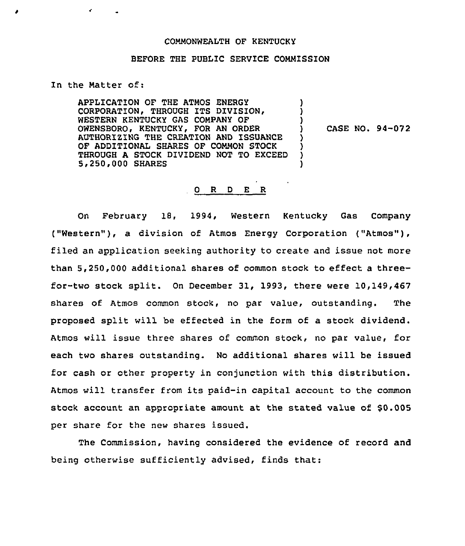## COMMONWEALTH OF KENTUCKY

## BEFORE THE PUBLIC SERVICE COMMISSION

## In the Natter of:

APPLICATION OF THE ATMOS ENERGY CORPORATION, THROUGH ITS DIVISION, WESTERN KENTUCKY GAS COMPANY OF OWENSBORO, KENTUCKY, FOR AN ORDER AUTHORIZING THE CREATION AND ISSUANCE OF ADDITIONAL SHARES OF COMMON STOCK THROUGH A STOCK DIVIDEND NOT TO EXCEED 51250 000 SHARES ) ) ) ) ) ) )

) CASE NO. 94-072

## 0 R <sup>D</sup> E R

On February 18, 1994, Western Kentucky Gas Company ("Western" ), <sup>a</sup> division of Atmos Energy Corporation ("Atmos" ), filed an application seeking authority to create and issue not more than 5,250,000 additional shares of common stock to effect a threefor-two stock split. On December 31, 1993, there were 10,149,467 shares of Atmos common stock, no par value, outstanding. The proposed split will be effected in the form of a stock dividend. Atmos will issue three shares of common stock, no par value, for each two shares outstanding. No additional shares will be issued for cash or other property in conjunction with this distribution. Atmos will transfer from its paid-in capital account to the common stock account an appropriate amount at the stated value of \$0.005 per share for the new shares issued.

The Commission, having considered the evidence of record and being otherwise sufficiently advised, finds that: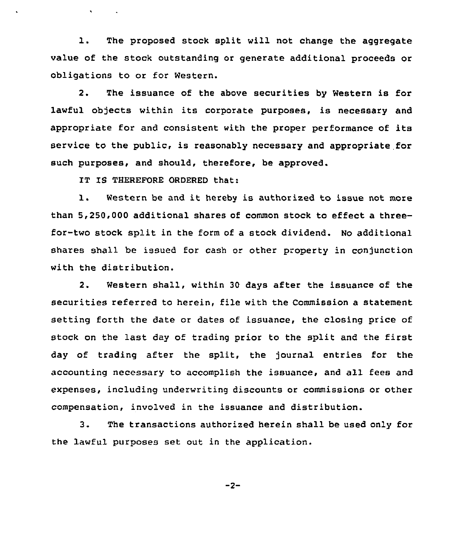1. The proposed stock split will not change the aggregate value of the stock outstanding or generate additional proceeds or obligations to or for Western.

2. The issuance of the above securities by Western is for lawful objects within its corporate purposes, is necessary and appropriate for and consistent with the proper performance of its service to the public, is reasonably necessary and appropriate for such purposes, and should, therefore, be approved.

IT IS THEREFORE ORDERED that:

 $\mathbf{v} = \mathbf{v} \times \mathbf{v}$  .

1. Western be and it hereby is authorized to issue not more than 5,250,000 additional shares of common stock to effect a threefor-two stock split in the form of a stock dividend. No additional shares shall be issued for cash or other property in conjunction with the distribution.

2. Western shall, within 30 days after the issuance of the securities referred to herein, file with the Commission a statement setting forth the date or dates of issuance, the closing price of stock on the last day of trading prior to the split and the first day of trading after the split, the journal entries for the accounting necessary to accomplish the issuance, and all fees and expenses, including underwriting discounts or commissions or other compensation, involved in the issuance and distribution.

3. The transactions authorized herein shall be used only for the lawful purposes set out in the application.

 $-2-$